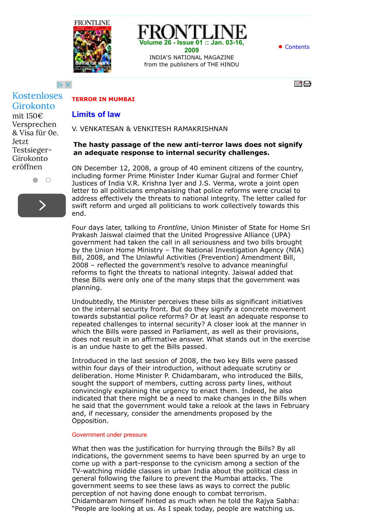



 $D \times$ 

 $=$   $\Box$ 

## **TERROR IN MUMBAI**

# **Limits of law**

V. VENKATESAN & VENKITESH RAMAKRISHNAN

# **The hasty passage of the new anti-terror laws does not signify an adequate response to internal security challenges.**

**Volume 26 - Issue 01 :: Jan. 03-16, 2009** INDIA'S NATIONAL MAGAZINE from the publishers of THE HINDU

ON December 12, 2008, a group of 40 eminent citizens of the country, including former Prime Minister Inder Kumar Gujral and former Chief Justices of India V.R. Krishna Iyer and J.S. Verma, wrote a joint open letter to all politicians emphasising that police reforms were crucial to address effectively the threats to national integrity. The letter called for swift reform and urged all politicians to work collectively towards this end.

Four days later, talking to *Frontline*, Union Minister of State for Home Sri Prakash Jaiswal claimed that the United Progressive Alliance (UPA) government had taken the call in all seriousness and two bills brought by the Union Home Ministry – The National Investigation Agency (NIA) Bill, 2008, and The Unlawful Activities (Prevention) Amendment Bill, 2008 – reflected the government's resolve to advance meaningful reforms to fight the threats to national integrity. Jaiswal added that these Bills were only one of the many steps that the government was planning.

Undoubtedly, the Minister perceives these bills as significant initiatives on the internal security front. But do they signify a concrete movement towards substantial police reforms? Or at least an adequate response to repeated challenges to internal security? A closer look at the manner in which the Bills were passed in Parliament, as well as their provisions, does not result in an affirmative answer. What stands out in the exercise is an undue haste to get the Bills passed.

Introduced in the last session of 2008, the two key Bills were passed within four days of their introduction, without adequate scrutiny or deliberation. Home Minister P. Chidambaram, who introduced the Bills, sought the support of members, cutting across party lines, without convincingly explaining the urgency to enact them. Indeed, he also indicated that there might be a need to make changes in the Bills when he said that the government would take a relook at the laws in February and, if necessary, consider the amendments proposed by the Opposition.

## Government under pressure

What then was the justification for hurrying through the Bills? By all indications, the government seems to have been spurred by an urge to come up with a part-response to the cynicism among a section of the TV-watching middle classes in urban India about the political class in general following the failure to prevent the Mumbai attacks. The government seems to see these laws as ways to correct the public perception of not having done enough to combat terrorism. Chidambaram himself hinted as much when he told the Rajya Sabha: "People are looking at us. As I speak today, people are watching us.

Girokonto mit 150€ Versprechen & Visa für 0e. Jetzt Testsieger-Girokonto eröffnen

[Kostenloses](https://googleads.g.doubleclick.net/aclk?sa=l&ai=CZysS56fAVb3TGtOtY-aWtaAN0uupiQe6m5GCngIUEAEg4MmcA2CVuq6CtAegAf7Ch9kDyAEBqQKOW_vj_mGyPqgDAcgDwwSqBKQBT9APLS6YBQd8g3FZkAf6YU_6kShcmGW6M9gwJT26FzWOeY2X8AMJhtwPS6bRYAoJxFvl5e85_kas-mqJjjczM1N6ASwffXx__2oPaFJjuRexam0hoo61WqWG9OtQoLbDeh69aexaOTRBH2un6easLONA19Z3oCrrrwXZvDf8wdBHuHeVh5wmPUSwOkClbK1Q4UBHRm2QaWrnx3sESqFAl6tGBuyAB-q8-CaoB6a-G9gHAQ&num=1&sig=AOD64_0_ia5-yWqAJDbHOnfa3vRwX7IsSg&client=ca-pub-6238405171313215&adurl=http://track.adform.net/C/%3Fbn%3D2098417%3BC%3D1%3Bkw%3D%255Bbroad%255D%255Bcontent%255D%255B%255B76818057362%255D%255D%255B%255B%255Bwww.frontline.in%255D%255D%255D%3Bcpdir%3Dhttp://www.comdirect.de/pbl/affiliate.do%3Fci%3D201523380001347KA000000000037%26aid%3Dy%26tid%3D%25C3%25A1broad%25C3%25A0%25C3%25A1content%25C3%25A0%25C3%25A1%25C3%25A176818057362%25C3%25A0%25C3%25A0%25C3%25A1%25C3%25A1%25C3%25A1www.frontline.in%25C3%25A0%25C3%25A0%25C3%25A0%25C3%25A1%25C3%25A1%25C3%25A1%25C3%25A1%25C3%25A1c%25C3%25A0%25C3%25A0%25C3%25A0%25C3%25A0%25C3%25A0%25C3%25A1%25C3%25A1%25C3%25A1%25C3%25A1%25C3%25A1%25C3%25A1%25C3%25A1__ADFUID__%25C3%25A0%25C3%25A0%25C3%25A0%25C3%25A0%25C3%25A0%25C3%25A0%25C3%25A0%26rd%3Dhttp://www.comdirect.de/cms/lp/giro_versprechen_media_wm165.html)



 $\bullet$   $\circ$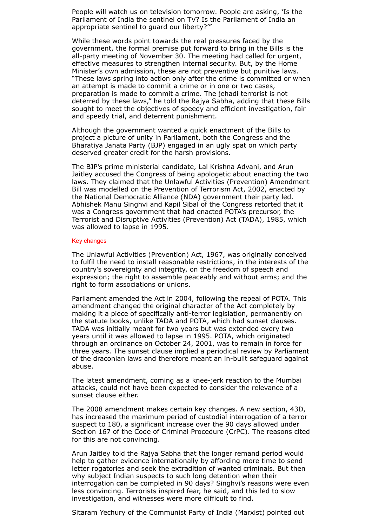People will watch us on television tomorrow. People are asking, 'Is the Parliament of India the sentinel on TV? Is the Parliament of India an appropriate sentinel to guard our liberty?'"

While these words point towards the real pressures faced by the government, the formal premise put forward to bring in the Bills is the all-party meeting of November 30. The meeting had called for urgent, effective measures to strengthen internal security. But, by the Home Minister's own admission, these are not preventive but punitive laws. "These laws spring into action only after the crime is committed or when an attempt is made to commit a crime or in one or two cases, preparation is made to commit a crime. The jehadi terrorist is not deterred by these laws," he told the Rajya Sabha, adding that these Bills sought to meet the objectives of speedy and efficient investigation, fair and speedy trial, and deterrent punishment.

Although the government wanted a quick enactment of the Bills to project a picture of unity in Parliament, both the Congress and the Bharatiya Janata Party (BJP) engaged in an ugly spat on which party deserved greater credit for the harsh provisions.

The BJP's prime ministerial candidate, Lal Krishna Advani, and Arun Jaitley accused the Congress of being apologetic about enacting the two laws. They claimed that the Unlawful Activities (Prevention) Amendment Bill was modelled on the Prevention of Terrorism Act, 2002, enacted by the National Democratic Alliance (NDA) government their party led. Abhishek Manu Singhvi and Kapil Sibal of the Congress retorted that it was a Congress government that had enacted POTA's precursor, the Terrorist and Disruptive Activities (Prevention) Act (TADA), 1985, which was allowed to lapse in 1995.

#### Key changes

The Unlawful Activities (Prevention) Act, 1967, was originally conceived to fulfil the need to install reasonable restrictions, in the interests of the country's sovereignty and integrity, on the freedom of speech and expression; the right to assemble peaceably and without arms; and the right to form associations or unions.

Parliament amended the Act in 2004, following the repeal of POTA. This amendment changed the original character of the Act completely by making it a piece of specifically anti-terror legislation, permanently on the statute books, unlike TADA and POTA, which had sunset clauses. TADA was initially meant for two years but was extended every two years until it was allowed to lapse in 1995. POTA, which originated through an ordinance on October 24, 2001, was to remain in force for three years. The sunset clause implied a periodical review by Parliament of the draconian laws and therefore meant an in-built safeguard against abuse.

The latest amendment, coming as a knee-jerk reaction to the Mumbai attacks, could not have been expected to consider the relevance of a sunset clause either.

The 2008 amendment makes certain key changes. A new section, 43D, has increased the maximum period of custodial interrogation of a terror suspect to 180, a significant increase over the 90 days allowed under Section 167 of the Code of Criminal Procedure (CrPC). The reasons cited for this are not convincing.

Arun Jaitley told the Rajya Sabha that the longer remand period would help to gather evidence internationally by affording more time to send letter rogatories and seek the extradition of wanted criminals. But then why subject Indian suspects to such long detention when their interrogation can be completed in 90 days? Singhvi's reasons were even less convincing. Terrorists inspired fear, he said, and this led to slow investigation, and witnesses were more difficult to find.

Sitaram Yechury of the Communist Party of India (Marxist) pointed out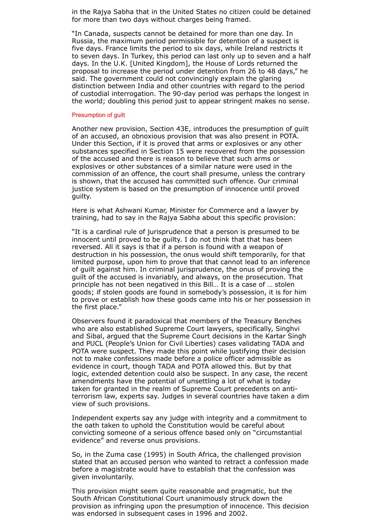in the Rajya Sabha that in the United States no citizen could be detained for more than two days without charges being framed.

"In Canada, suspects cannot be detained for more than one day. In Russia, the maximum period permissible for detention of a suspect is five days. France limits the period to six days, while Ireland restricts it to seven days. In Turkey, this period can last only up to seven and a half days. In the U.K. [United Kingdom], the House of Lords returned the proposal to increase the period under detention from 26 to 48 days," he said. The government could not convincingly explain the glaring distinction between India and other countries with regard to the period of custodial interrogation. The 90-day period was perhaps the longest in the world; doubling this period just to appear stringent makes no sense.

#### Presumption of guilt

Another new provision, Section 43E, introduces the presumption of guilt of an accused, an obnoxious provision that was also present in POTA. Under this Section, if it is proved that arms or explosives or any other substances specified in Section 15 were recovered from the possession of the accused and there is reason to believe that such arms or explosives or other substances of a similar nature were used in the commission of an offence, the court shall presume, unless the contrary is shown, that the accused has committed such offence. Our criminal justice system is based on the presumption of innocence until proved guilty.

Here is what Ashwani Kumar, Minister for Commerce and a lawyer by training, had to say in the Rajya Sabha about this specific provision:

"It is a cardinal rule of jurisprudence that a person is presumed to be innocent until proved to be guilty. I do not think that that has been reversed. All it says is that if a person is found with a weapon of destruction in his possession, the onus would shift temporarily, for that limited purpose, upon him to prove that that cannot lead to an inference of guilt against him. In criminal jurisprudence, the onus of proving the guilt of the accused is invariably, and always, on the prosecution. That principle has not been negatived in this Bill… It is a case of … stolen goods; if stolen goods are found in somebody's possession, it is for him to prove or establish how these goods came into his or her possession in the first place."

Observers found it paradoxical that members of the Treasury Benches who are also established Supreme Court lawyers, specifically, Singhvi and Sibal, argued that the Supreme Court decisions in the Kartar Singh and PUCL (People's Union for Civil Liberties) cases validating TADA and POTA were suspect. They made this point while justifying their decision not to make confessions made before a police officer admissible as evidence in court, though TADA and POTA allowed this. But by that logic, extended detention could also be suspect. In any case, the recent amendments have the potential of unsettling a lot of what is today taken for granted in the realm of Supreme Court precedents on antiterrorism law, experts say. Judges in several countries have taken a dim view of such provisions.

Independent experts say any judge with integrity and a commitment to the oath taken to uphold the Constitution would be careful about convicting someone of a serious offence based only on "circumstantial evidence" and reverse onus provisions.

So, in the Zuma case (1995) in South Africa, the challenged provision stated that an accused person who wanted to retract a confession made before a magistrate would have to establish that the confession was given involuntarily.

This provision might seem quite reasonable and pragmatic, but the South African Constitutional Court unanimously struck down the provision as infringing upon the presumption of innocence. This decision was endorsed in subsequent cases in 1996 and 2002.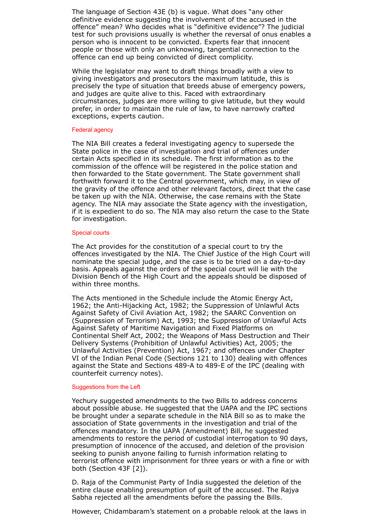The language of Section 43E (b) is vague. What does "any other definitive evidence suggesting the involvement of the accused in the offence" mean? Who decides what is "definitive evidence"? The judicial test for such provisions usually is whether the reversal of onus enables a person who is innocent to be convicted. Experts fear that innocent people or those with only an unknowing, tangential connection to the offence can end up being convicted of direct complicity.

While the legislator may want to draft things broadly with a view to giving investigators and prosecutors the maximum latitude, this is precisely the type of situation that breeds abuse of emergency powers, and judges are quite alive to this. Faced with extraordinary circumstances, judges are more willing to give latitude, but they would prefer, in order to maintain the rule of law, to have narrowly crafted exceptions, experts caution.

#### Federal agency

The NIA Bill creates a federal investigating agency to supersede the State police in the case of investigation and trial of offences under certain Acts specified in its schedule. The first information as to the commission of the offence will be registered in the police station and then forwarded to the State government. The State government shall forthwith forward it to the Central government, which may, in view of the gravity of the offence and other relevant factors, direct that the case be taken up with the NIA. Otherwise, the case remains with the State agency. The NIA may associate the State agency with the investigation, if it is expedient to do so. The NIA may also return the case to the State for investigation.

### Special courts

The Act provides for the constitution of a special court to try the offences investigated by the NIA. The Chief Justice of the High Court will nominate the special judge, and the case is to be tried on a day-to-day basis. Appeals against the orders of the special court will lie with the Division Bench of the High Court and the appeals should be disposed of within three months.

The Acts mentioned in the Schedule include the Atomic Energy Act, 1962; the Anti-Hijacking Act, 1982; the Suppression of Unlawful Acts Against Safety of Civil Aviation Act, 1982; the SAARC Convention on (Suppression of Terrorism) Act, 1993; the Suppression of Unlawful Acts Against Safety of Maritime Navigation and Fixed Platforms on Continental Shelf Act, 2002; the Weapons of Mass Destruction and Their Delivery Systems (Prohibition of Unlawful Activities) Act, 2005; the Unlawful Activities (Prevention) Act, 1967; and offences under Chapter VI of the Indian Penal Code (Sections 121 to 130) dealing with offences against the State and Sections 489-A to 489-E of the IPC (dealing with counterfeit currency notes).

## Suggestions from the Left

Yechury suggested amendments to the two Bills to address concerns about possible abuse. He suggested that the UAPA and the IPC sections be brought under a separate schedule in the NIA Bill so as to make the association of State governments in the investigation and trial of the offences mandatory. In the UAPA (Amendment) Bill, he suggested amendments to restore the period of custodial interrogation to 90 days, presumption of innocence of the accused, and deletion of the provision seeking to punish anyone failing to furnish information relating to terrorist offence with imprisonment for three years or with a fine or with both (Section 43F [2]).

D. Raja of the Communist Party of India suggested the deletion of the entire clause enabling presumption of guilt of the accused. The Rajya Sabha rejected all the amendments before the passing the Bills.

However, Chidambaram's statement on a probable relook at the laws in